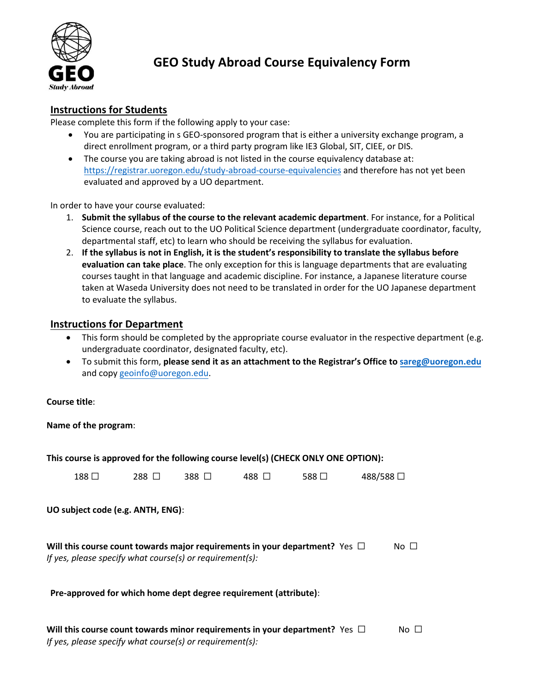

# **GEO Study Abroad Course Equivalency Form**

## **Instructions for Students**

Please complete this form if the following apply to your case:

- You are participating in s GEO-sponsored program that is either a university exchange program, a direct enrollment program, or a third party program like IE3 Global, SIT, CIEE, or DIS.
- The course you are taking abroad is not listed in the course equivalency database at: <https://registrar.uoregon.edu/study-abroad-course-equivalencies> and therefore has not yet been evaluated and approved by a UO department.

In order to have your course evaluated:

- 1. **Submit the syllabus of the course to the relevant academic department**. For instance, for a Political Science course, reach out to the UO Political Science department (undergraduate coordinator, faculty, departmental staff, etc) to learn who should be receiving the syllabus for evaluation.
- 2. **If the syllabus is not in English, it is the student's responsibility to translate the syllabus before evaluation can take place**. The only exception for this is language departments that are evaluating courses taught in that language and academic discipline. For instance, a Japanese literature course taken at Waseda University does not need to be translated in order for the UO Japanese department to evaluate the syllabus.

## **Instructions for Department**

- This form should be completed by the appropriate course evaluator in the respective department (e.g. undergraduate coordinator, designated faculty, etc).
- To submit this form, **please send it as an attachment to the Registrar's Office to sareg[@uoregon.edu](mailto:sareg@uoregon.edu)** and copy [geoinfo@uoregon.edu.](mailto:geoinfo@uoregon.edu)

### **Course title**:

**Name of the program**:

|  | This course is approved for the following course level(s) (CHECK ONLY ONE OPTION): |  |
|--|------------------------------------------------------------------------------------|--|
|--|------------------------------------------------------------------------------------|--|

| 188 □ | 288 □ | 388 $\Box$ | 488 □ | 588 □ | 488/588 □ |
|-------|-------|------------|-------|-------|-----------|
|-------|-------|------------|-------|-------|-----------|

**UO subject code (e.g. ANTH, ENG)**:

| Will this course count towards major requirements in your department? Yes $\Box$ | No $\square$ |
|----------------------------------------------------------------------------------|--------------|
| If yes, please specify what course(s) or requirement(s):                         |              |

### **Pre-approved for which home dept degree requirement (attribute)**:

| Will this course count towards minor requirements in your department? Yes $\Box$ | No $\Box$ |
|----------------------------------------------------------------------------------|-----------|
| If yes, please specify what course(s) or requirement(s):                         |           |